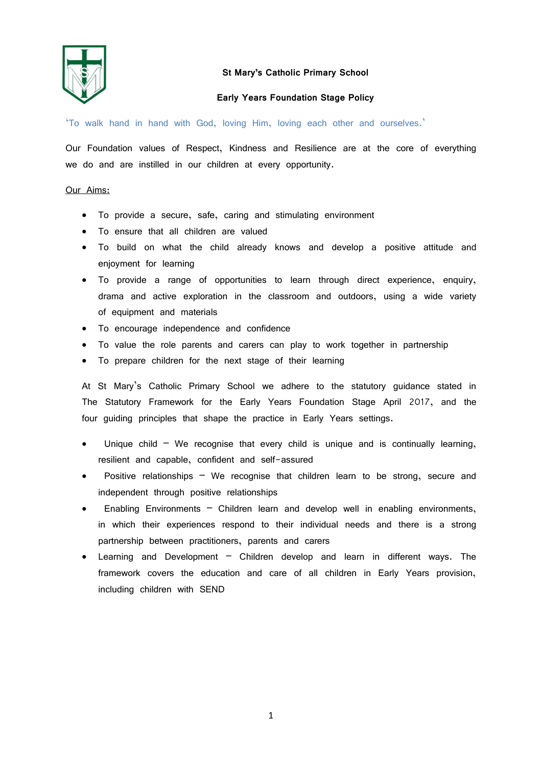

# **St Mary's Catholic Primary School**

# **Early Years Foundation Stage Policy**

'To walk hand in hand with God, loving Him, loving each other and ourselves.'

Our Foundation values of Respect, Kindness and Resilience are at the core of everything we do and are instilled in our children at every opportunity.

## Our Aims:

- To provide a secure, safe, caring and stimulating environment
- To ensure that all children are valued
- To build on what the child already knows and develop a positive attitude and enjoyment for learning
- To provide a range of opportunities to learn through direct experience, enquiry, drama and active exploration in the classroom and outdoors, using a wide variety of equipment and materials
- To encourage independence and confidence
- To value the role parents and carers can play to work together in partnership
- To prepare children for the next stage of their learning

At St Mary's Catholic Primary School we adhere to the statutory guidance stated in The Statutory Framework for the Early Years Foundation Stage April 2017, and the four guiding principles that shape the practice in Early Years settings.

- Unique child  $-$  We recognise that every child is unique and is continually learning, resilient and capable, confident and self-assured
- Positive relationships We recognise that children learn to be strong, secure and independent through positive relationships
- Enabling Environments Children learn and develop well in enabling environments, in which their experiences respond to their individual needs and there is a strong partnership between practitioners, parents and carers
- Learning and Development Children develop and learn in different ways. The framework covers the education and care of all children in Early Years provision, including children with SEND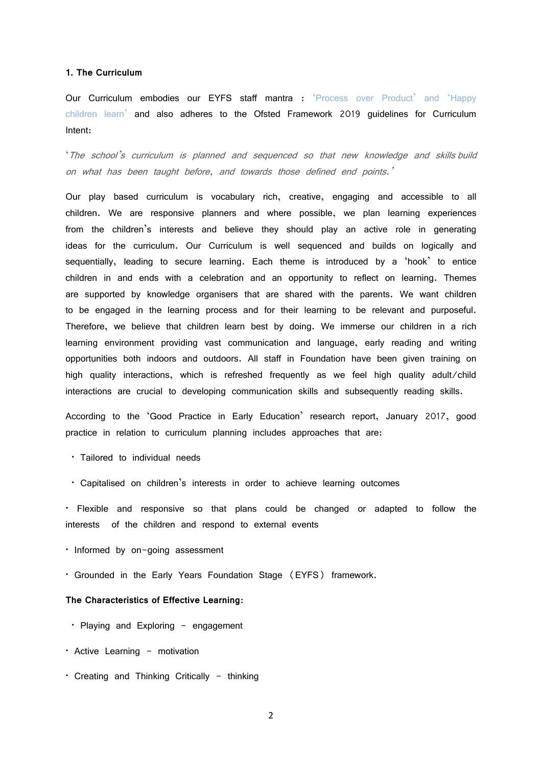### **1. The Curriculum**

Our Curriculum embodies our EYFS staff mantra : 'Process over Product' and 'Happy children learn' and also adheres to the Ofsted Framework 2019 guidelines for Curriculum Intent:

'The school's curriculum is planned and sequenced so that new knowledge and skills build on what has been taught before, and towards those defined end points.'

Our play based curriculum is vocabulary rich, creative, engaging and accessible to all children. We are responsive planners and where possible, we plan learning experiences from the children's interests and believe they should play an active role in generating ideas for the curriculum. Our Curriculum is well sequenced and builds on logically and sequentially, leading to secure learning. Each theme is introduced by a 'hook' to entice children in and ends with a celebration and an opportunity to reflect on learning. Themes are supported by knowledge organisers that are shared with the parents. We want children to be engaged in the learning process and for their learning to be relevant and purposeful. Therefore, we believe that children learn best by doing. We immerse our children in a rich learning environment providing vast communication and language, early reading and writing opportunities both indoors and outdoors. All staff in Foundation have been given training on high quality interactions, which is refreshed frequently as we feel high quality adult/child interactions are crucial to developing communication skills and subsequently reading skills.

According to the 'Good Practice in Early Education' research report, January 2017, good practice in relation to curriculum planning includes approaches that are:

- Tailored to individual needs
- Capitalised on children's interests in order to achieve learning outcomes

• Flexible and responsive so that plans could be changed or adapted to follow the interests of the children and respond to external events

- Informed by on-going assessment
- Grounded in the Early Years Foundation Stage (EYFS) framework.

# **The Characteristics of Effective Learning**:

- Playing and Exploring engagement
- Active Learning motivation
- Creating and Thinking Critically thinking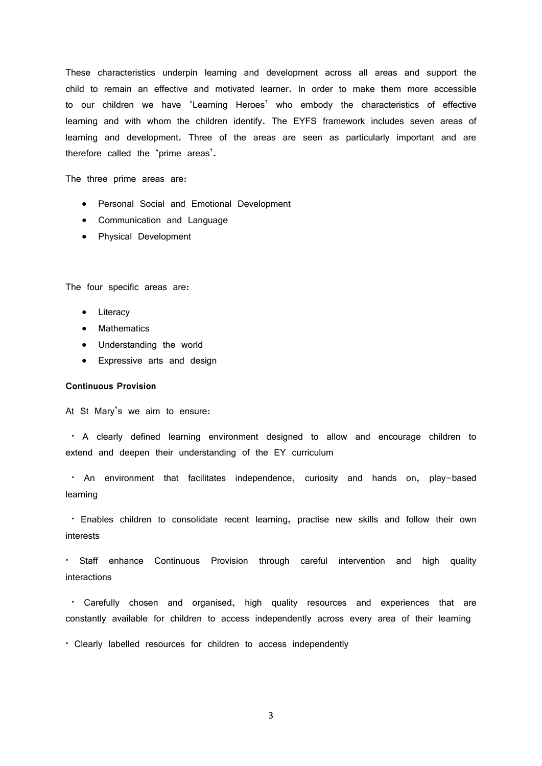These characteristics underpin learning and development across all areas and support the child to remain an effective and motivated learner. In order to make them more accessible to our children we have 'Learning Heroes' who embody the characteristics of effective learning and with whom the children identify. The EYFS framework includes seven areas of learning and development. Three of the areas are seen as particularly important and are therefore called the 'prime areas'.

The three prime areas are:

- Personal Social and Emotional Development
- Communication and Language
- Physical Development

The four specific areas are:

- Literacy
- Mathematics
- Understanding the world
- Expressive arts and design

# **Continuous Provision**

At St Mary's we aim to ensure:

• A clearly defined learning environment designed to allow and encourage children to extend and deepen their understanding of the EY curriculum

• An environment that facilitates independence, curiosity and hands on, play-based learning

• Enables children to consolidate recent learning, practise new skills and follow their own interests

• Staff enhance Continuous Provision through careful intervention and high quality interactions

• Carefully chosen and organised, high quality resources and experiences that are constantly available for children to access independently across every area of their learning

• Clearly labelled resources for children to access independently

3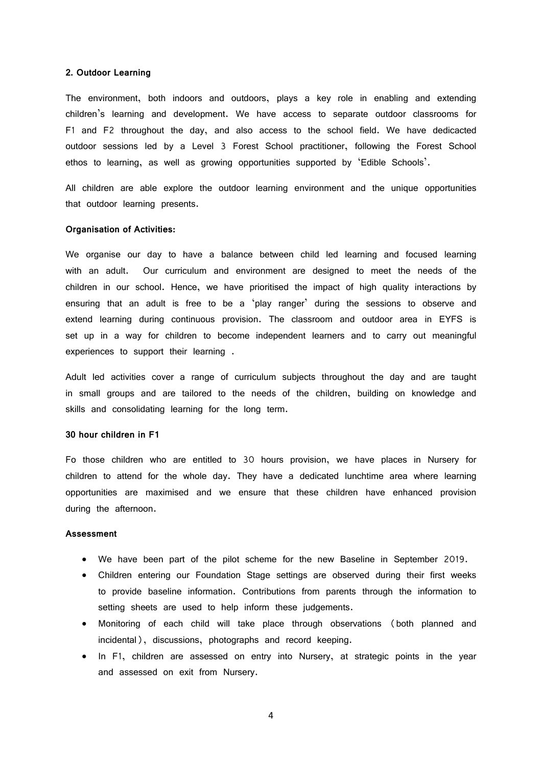#### **2. Outdoor Learning**

The environment, both indoors and outdoors, plays a key role in enabling and extending children's learning and development. We have access to separate outdoor classrooms for F1 and F2 throughout the day, and also access to the school field. We have dedicacted outdoor sessions led by a Level 3 Forest School practitioner, following the Forest School ethos to learning, as well as growing opportunities supported by 'Edible Schools'.

All children are able explore the outdoor learning environment and the unique opportunities that outdoor learning presents.

### **Organisation of Activities:**

We organise our day to have a balance between child led learning and focused learning with an adult. Our curriculum and environment are designed to meet the needs of the children in our school. Hence, we have prioritised the impact of high quality interactions by ensuring that an adult is free to be a 'play ranger' during the sessions to observe and extend learning during continuous provision. The classroom and outdoor area in EYFS is set up in a way for children to become independent learners and to carry out meaningful experiences to support their learning .

Adult led activities cover a range of curriculum subjects throughout the day and are taught in small groups and are tailored to the needs of the children, building on knowledge and skills and consolidating learning for the long term.

### **30 hour children in F1**

Fo those children who are entitled to 30 hours provision, we have places in Nursery for children to attend for the whole day. They have a dedicated lunchtime area where learning opportunities are maximised and we ensure that these children have enhanced provision during the afternoon.

#### **Assessment**

- We have been part of the pilot scheme for the new Baseline in September 2019.
- Children entering our Foundation Stage settings are observed during their first weeks to provide baseline information. Contributions from parents through the information to setting sheets are used to help inform these judgements.
- Monitoring of each child will take place through observations (both planned and incidental), discussions, photographs and record keeping.
- In F1, children are assessed on entry into Nursery, at strategic points in the year and assessed on exit from Nursery.

4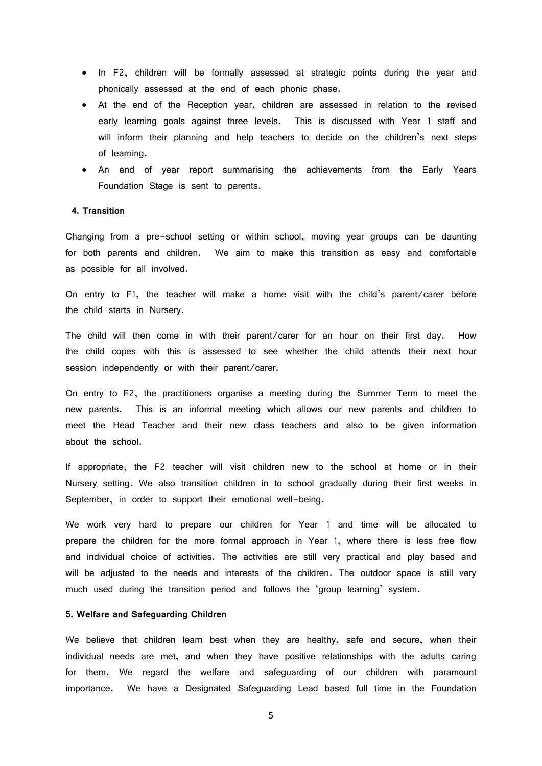- In F2, children will be formally assessed at strategic points during the year and phonically assessed at the end of each phonic phase.
- At the end of the Reception year, children are assessed in relation to the revised early learning goals against three levels. This is discussed with Year 1 staff and will inform their planning and help teachers to decide on the children's next steps of learning.
- An end of year report summarising the achievements from the Early Years Foundation Stage is sent to parents.

### **4. Transition**

Changing from a pre-school setting or within school, moving year groups can be daunting for both parents and children. We aim to make this transition as easy and comfortable as possible for all involved.

On entry to F1, the teacher will make a home visit with the child's parent/carer before the child starts in Nursery.

The child will then come in with their parent/carer for an hour on their first day. How the child copes with this is assessed to see whether the child attends their next hour session independently or with their parent/carer.

On entry to F2, the practitioners organise a meeting during the Summer Term to meet the new parents. This is an informal meeting which allows our new parents and children to meet the Head Teacher and their new class teachers and also to be given information about the school.

If appropriate, the F2 teacher will visit children new to the school at home or in their Nursery setting. We also transition children in to school gradually during their first weeks in September, in order to support their emotional well-being.

We work very hard to prepare our children for Year 1 and time will be allocated to prepare the children for the more formal approach in Year 1, where there is less free flow and individual choice of activities. The activities are still very practical and play based and will be adjusted to the needs and interests of the children. The outdoor space is still very much used during the transition period and follows the 'group learning' system.

### **5. Welfare and Safeguarding Children**

We believe that children learn best when they are healthy, safe and secure, when their individual needs are met, and when they have positive relationships with the adults caring for them. We regard the welfare and safeguarding of our children with paramount importance. We have a Designated Safeguarding Lead based full time in the Foundation

5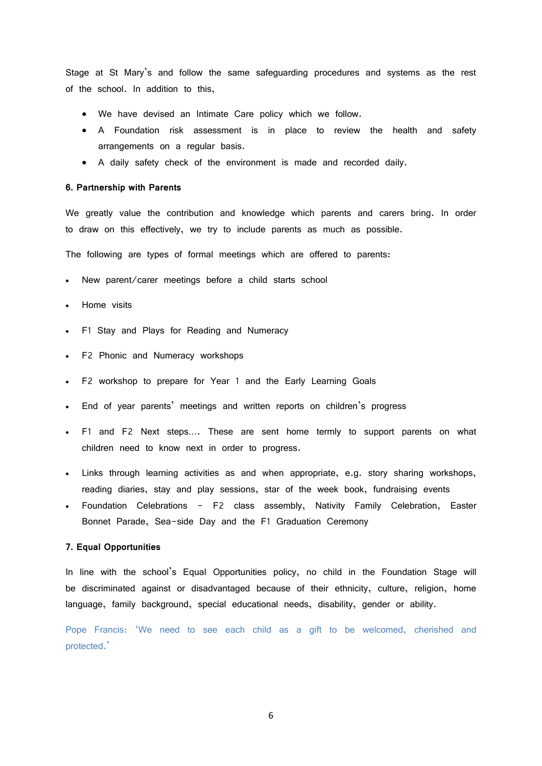Stage at St Mary's and follow the same safeguarding procedures and systems as the rest of the school. In addition to this,

- We have devised an Intimate Care policy which we follow.
- A Foundation risk assessment is in place to review the health and safety arrangements on a regular basis.
- A daily safety check of the environment is made and recorded daily.

#### **6. Partnership with Parents**

We greatly value the contribution and knowledge which parents and carers bring. In order to draw on this effectively, we try to include parents as much as possible.

The following are types of formal meetings which are offered to parents:

- New parent/carer meetings before a child starts school
- Home visits
- F1 Stay and Plays for Reading and Numeracy
- F2 Phonic and Numeracy workshops
- F2 workshop to prepare for Year 1 and the Early Learning Goals
- End of year parents' meetings and written reports on children's progress
- F1 and F2 Next steps…. These are sent home termly to support parents on what children need to know next in order to progress.
- Links through learning activities as and when appropriate, e.g. story sharing workshops, reading diaries, stay and play sessions, star of the week book, fundraising events
- Foundation Celebrations F2 class assembly, Nativity Family Celebration, Easter Bonnet Parade, Sea-side Day and the F1 Graduation Ceremony

### **7. Equal Opportunities**

In line with the school's Equal Opportunities policy, no child in the Foundation Stage will be discriminated against or disadvantaged because of their ethnicity, culture, religion, home language, family background, special educational needs, disability, gender or ability.

Pope Francis: 'We need to see each child as a gift to be welcomed, cherished and protected.'